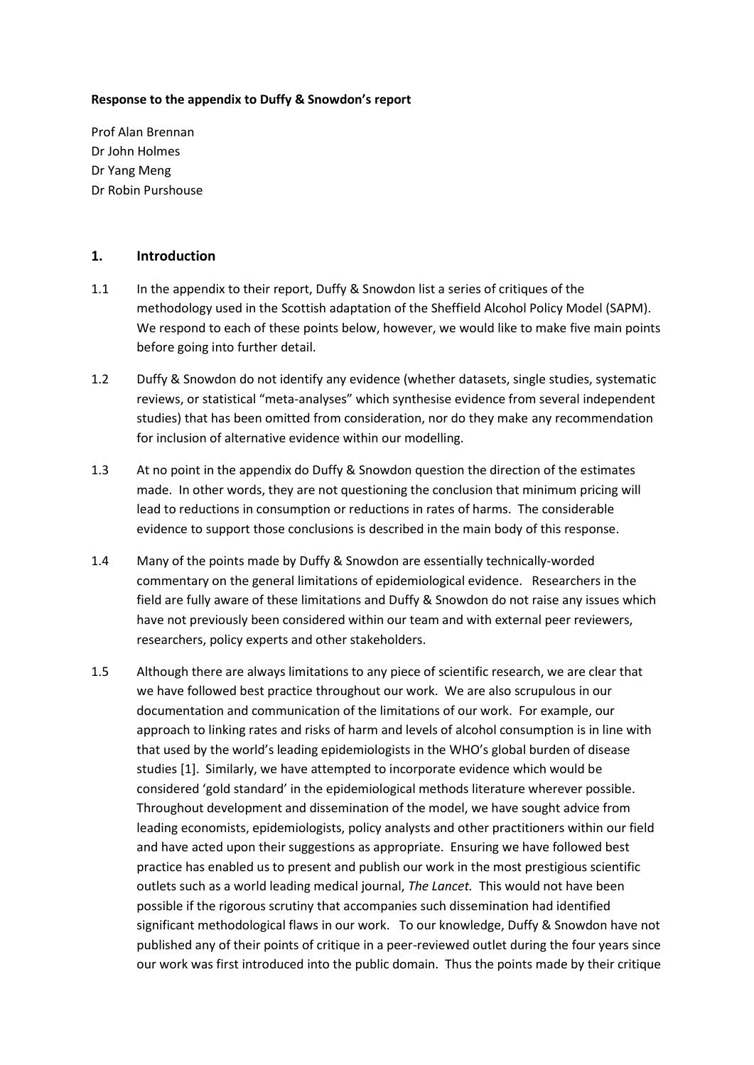#### **Response to the appendix to Duffy & Snowdon's report**

Prof Alan Brennan Dr John Holmes Dr Yang Meng Dr Robin Purshouse

### **1. Introduction**

- 1.1 In the appendix to their report, Duffy & Snowdon list a series of critiques of the methodology used in the Scottish adaptation of the Sheffield Alcohol Policy Model (SAPM). We respond to each of these points below, however, we would like to make five main points before going into further detail.
- 1.2 Duffy & Snowdon do not identify any evidence (whether datasets, single studies, systematic reviews, or statistical "meta-analyses" which synthesise evidence from several independent studies) that has been omitted from consideration, nor do they make any recommendation for inclusion of alternative evidence within our modelling.
- 1.3 At no point in the appendix do Duffy & Snowdon question the direction of the estimates made. In other words, they are not questioning the conclusion that minimum pricing will lead to reductions in consumption or reductions in rates of harms. The considerable evidence to support those conclusions is described in the main body of this response.
- 1.4 Many of the points made by Duffy & Snowdon are essentially technically-worded commentary on the general limitations of epidemiological evidence. Researchers in the field are fully aware of these limitations and Duffy & Snowdon do not raise any issues which have not previously been considered within our team and with external peer reviewers, researchers, policy experts and other stakeholders.
- 1.5 Although there are always limitations to any piece of scientific research, we are clear that we have followed best practice throughout our work. We are also scrupulous in our documentation and communication of the limitations of our work. For example, our approach to linking rates and risks of harm and levels of alcohol consumption is in line with that used by the world's leading epidemiologists in the WHO's global burden of disease studies [1]. Similarly, we have attempted to incorporate evidence which would be considered 'gold standard' in the epidemiological methods literature wherever possible. Throughout development and dissemination of the model, we have sought advice from leading economists, epidemiologists, policy analysts and other practitioners within our field and have acted upon their suggestions as appropriate. Ensuring we have followed best practice has enabled us to present and publish our work in the most prestigious scientific outlets such as a world leading medical journal, *The Lancet.* This would not have been possible if the rigorous scrutiny that accompanies such dissemination had identified significant methodological flaws in our work. To our knowledge, Duffy & Snowdon have not published any of their points of critique in a peer-reviewed outlet during the four years since our work was first introduced into the public domain. Thus the points made by their critique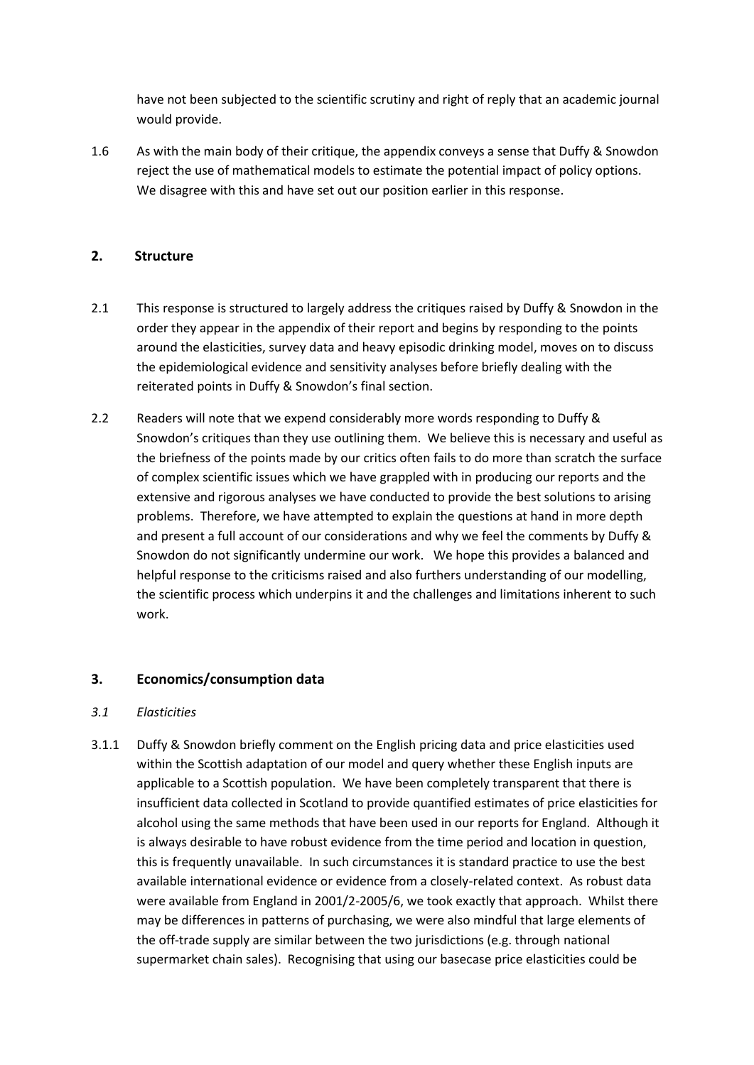have not been subjected to the scientific scrutiny and right of reply that an academic journal would provide.

1.6 As with the main body of their critique, the appendix conveys a sense that Duffy & Snowdon reject the use of mathematical models to estimate the potential impact of policy options. We disagree with this and have set out our position earlier in this response.

# **2. Structure**

- 2.1 This response is structured to largely address the critiques raised by Duffy & Snowdon in the order they appear in the appendix of their report and begins by responding to the points around the elasticities, survey data and heavy episodic drinking model, moves on to discuss the epidemiological evidence and sensitivity analyses before briefly dealing with the reiterated points in Duffy & Snowdon's final section.
- 2.2 Readers will note that we expend considerably more words responding to Duffy & Snowdon's critiques than they use outlining them. We believe this is necessary and useful as the briefness of the points made by our critics often fails to do more than scratch the surface of complex scientific issues which we have grappled with in producing our reports and the extensive and rigorous analyses we have conducted to provide the best solutions to arising problems. Therefore, we have attempted to explain the questions at hand in more depth and present a full account of our considerations and why we feel the comments by Duffy & Snowdon do not significantly undermine our work. We hope this provides a balanced and helpful response to the criticisms raised and also furthers understanding of our modelling, the scientific process which underpins it and the challenges and limitations inherent to such work.

## **3. Economics/consumption data**

## *3.1 Elasticities*

3.1.1 Duffy & Snowdon briefly comment on the English pricing data and price elasticities used within the Scottish adaptation of our model and query whether these English inputs are applicable to a Scottish population. We have been completely transparent that there is insufficient data collected in Scotland to provide quantified estimates of price elasticities for alcohol using the same methods that have been used in our reports for England. Although it is always desirable to have robust evidence from the time period and location in question, this is frequently unavailable. In such circumstances it is standard practice to use the best available international evidence or evidence from a closely-related context. As robust data were available from England in 2001/2-2005/6, we took exactly that approach. Whilst there may be differences in patterns of purchasing, we were also mindful that large elements of the off-trade supply are similar between the two jurisdictions (e.g. through national supermarket chain sales). Recognising that using our basecase price elasticities could be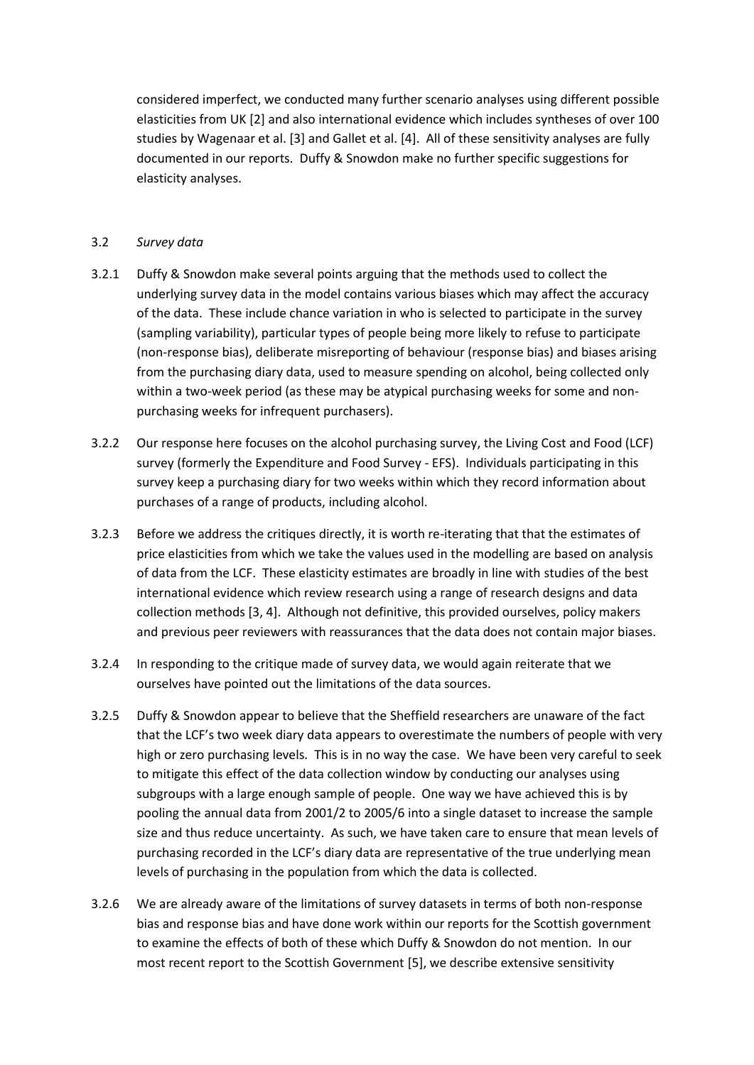considered imperfect, we conducted many further scenario analyses using different possible elasticities from UK [2] and also international evidence which includes syntheses of over 100 studies by Wagenaar et al. [3] and Gallet et al. [4]. All of these sensitivity analyses are fully documented in our reports. Duffy & Snowdon make no further specific suggestions for elasticity analyses.

### 3.2 *Survey data*

- 3.2.1 Duffy & Snowdon make several points arguing that the methods used to collect the underlying survey data in the model contains various biases which may affect the accuracy of the data. These include chance variation in who is selected to participate in the survey (sampling variability), particular types of people being more likely to refuse to participate (non-response bias), deliberate misreporting of behaviour (response bias) and biases arising from the purchasing diary data, used to measure spending on alcohol, being collected only within a two-week period (as these may be atypical purchasing weeks for some and nonpurchasing weeks for infrequent purchasers).
- 3.2.2 Our response here focuses on the alcohol purchasing survey, the Living Cost and Food (LCF) survey (formerly the Expenditure and Food Survey - EFS). Individuals participating in this survey keep a purchasing diary for two weeks within which they record information about purchases of a range of products, including alcohol.
- 3.2.3 Before we address the critiques directly, it is worth re-iterating that that the estimates of price elasticities from which we take the values used in the modelling are based on analysis of data from the LCF. These elasticity estimates are broadly in line with studies of the best international evidence which review research using a range of research designs and data collection methods [3, 4]. Although not definitive, this provided ourselves, policy makers and previous peer reviewers with reassurances that the data does not contain major biases.
- 3.2.4 In responding to the critique made of survey data, we would again reiterate that we ourselves have pointed out the limitations of the data sources.
- 3.2.5 Duffy & Snowdon appear to believe that the Sheffield researchers are unaware of the fact that the LCF's two week diary data appears to overestimate the numbers of people with very high or zero purchasing levels. This is in no way the case. We have been very careful to seek to mitigate this effect of the data collection window by conducting our analyses using subgroups with a large enough sample of people. One way we have achieved this is by pooling the annual data from 2001/2 to 2005/6 into a single dataset to increase the sample size and thus reduce uncertainty. As such, we have taken care to ensure that mean levels of purchasing recorded in the LCF's diary data are representative of the true underlying mean levels of purchasing in the population from which the data is collected.
- 3.2.6 We are already aware of the limitations of survey datasets in terms of both non-response bias and response bias and have done work within our reports for the Scottish government to examine the effects of both of these which Duffy & Snowdon do not mention. In our most recent report to the Scottish Government [5], we describe extensive sensitivity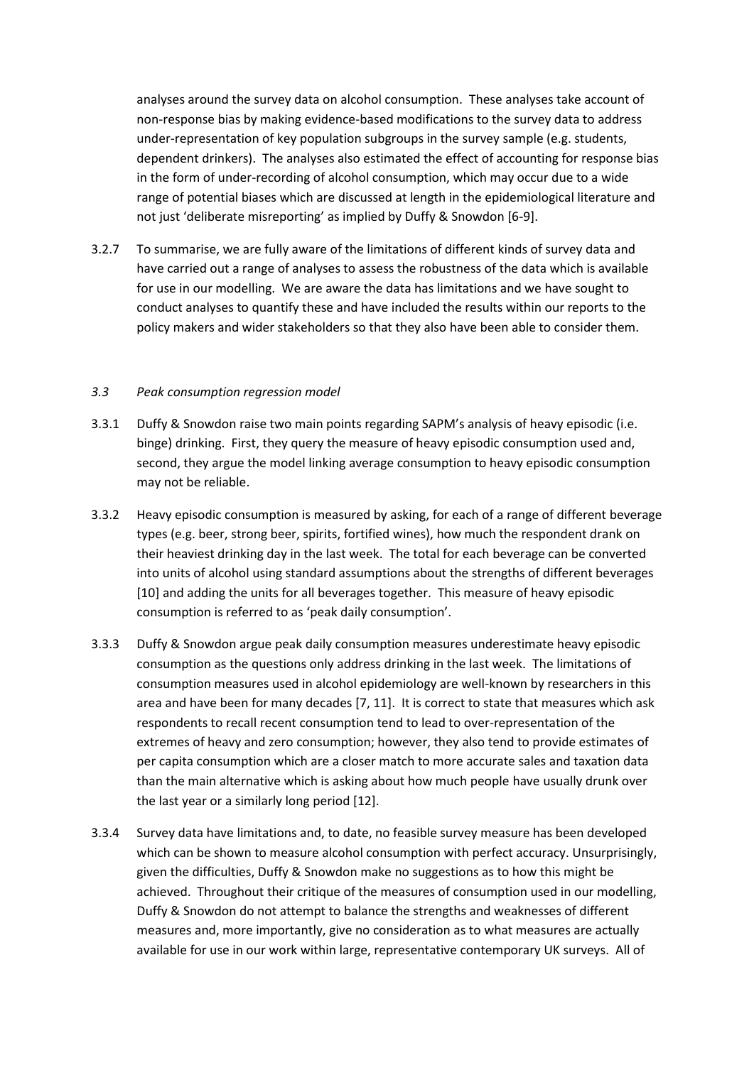analyses around the survey data on alcohol consumption. These analyses take account of non-response bias by making evidence-based modifications to the survey data to address under-representation of key population subgroups in the survey sample (e.g. students, dependent drinkers). The analyses also estimated the effect of accounting for response bias in the form of under-recording of alcohol consumption, which may occur due to a wide range of potential biases which are discussed at length in the epidemiological literature and not just 'deliberate misreporting' as implied by Duffy & Snowdon [6-9].

3.2.7 To summarise, we are fully aware of the limitations of different kinds of survey data and have carried out a range of analyses to assess the robustness of the data which is available for use in our modelling. We are aware the data has limitations and we have sought to conduct analyses to quantify these and have included the results within our reports to the policy makers and wider stakeholders so that they also have been able to consider them.

#### *3.3 Peak consumption regression model*

- 3.3.1 Duffy & Snowdon raise two main points regarding SAPM's analysis of heavy episodic (i.e. binge) drinking. First, they query the measure of heavy episodic consumption used and, second, they argue the model linking average consumption to heavy episodic consumption may not be reliable.
- 3.3.2 Heavy episodic consumption is measured by asking, for each of a range of different beverage types (e.g. beer, strong beer, spirits, fortified wines), how much the respondent drank on their heaviest drinking day in the last week. The total for each beverage can be converted into units of alcohol using standard assumptions about the strengths of different beverages [10] and adding the units for all beverages together. This measure of heavy episodic consumption is referred to as 'peak daily consumption'.
- 3.3.3 Duffy & Snowdon argue peak daily consumption measures underestimate heavy episodic consumption as the questions only address drinking in the last week. The limitations of consumption measures used in alcohol epidemiology are well-known by researchers in this area and have been for many decades [7, 11]. It is correct to state that measures which ask respondents to recall recent consumption tend to lead to over-representation of the extremes of heavy and zero consumption; however, they also tend to provide estimates of per capita consumption which are a closer match to more accurate sales and taxation data than the main alternative which is asking about how much people have usually drunk over the last year or a similarly long period [12].
- 3.3.4 Survey data have limitations and, to date, no feasible survey measure has been developed which can be shown to measure alcohol consumption with perfect accuracy. Unsurprisingly, given the difficulties, Duffy & Snowdon make no suggestions as to how this might be achieved. Throughout their critique of the measures of consumption used in our modelling, Duffy & Snowdon do not attempt to balance the strengths and weaknesses of different measures and, more importantly, give no consideration as to what measures are actually available for use in our work within large, representative contemporary UK surveys. All of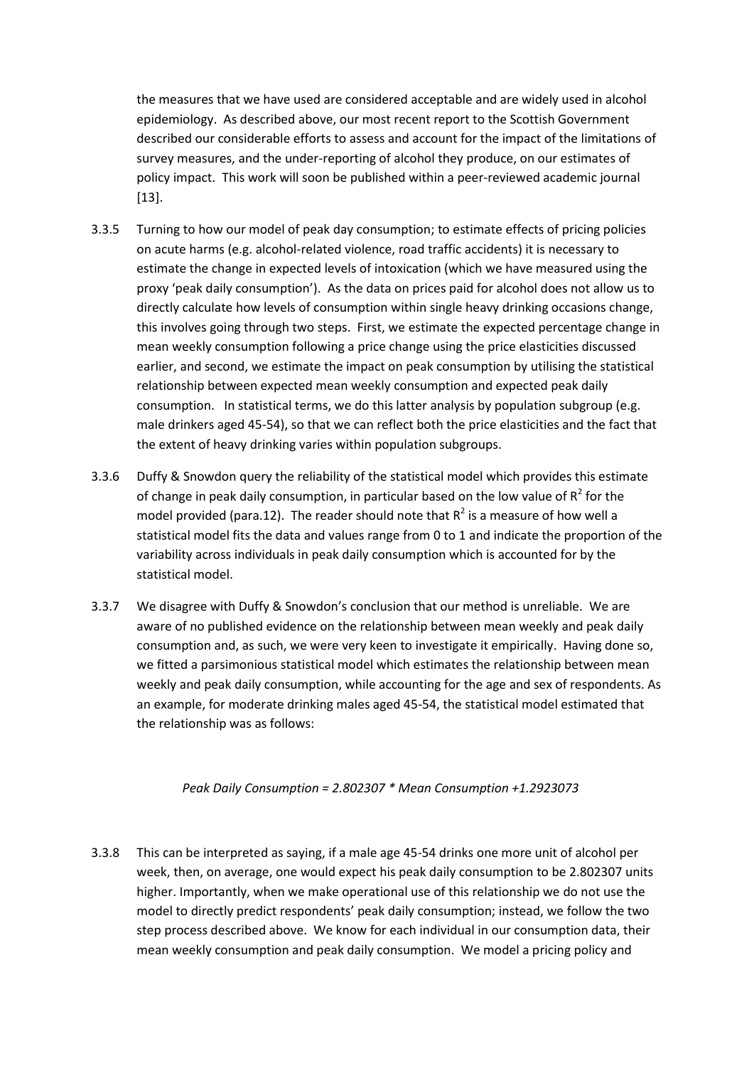the measures that we have used are considered acceptable and are widely used in alcohol epidemiology. As described above, our most recent report to the Scottish Government described our considerable efforts to assess and account for the impact of the limitations of survey measures, and the under-reporting of alcohol they produce, on our estimates of policy impact. This work will soon be published within a peer-reviewed academic journal [13].

- 3.3.5 Turning to how our model of peak day consumption; to estimate effects of pricing policies on acute harms (e.g. alcohol-related violence, road traffic accidents) it is necessary to estimate the change in expected levels of intoxication (which we have measured using the proxy 'peak daily consumption'). As the data on prices paid for alcohol does not allow us to directly calculate how levels of consumption within single heavy drinking occasions change, this involves going through two steps. First, we estimate the expected percentage change in mean weekly consumption following a price change using the price elasticities discussed earlier, and second, we estimate the impact on peak consumption by utilising the statistical relationship between expected mean weekly consumption and expected peak daily consumption. In statistical terms, we do this latter analysis by population subgroup (e.g. male drinkers aged 45-54), so that we can reflect both the price elasticities and the fact that the extent of heavy drinking varies within population subgroups.
- 3.3.6 Duffy & Snowdon query the reliability of the statistical model which provides this estimate of change in peak daily consumption, in particular based on the low value of  $R^2$  for the model provided (para.12). The reader should note that  $R^2$  is a measure of how well a statistical model fits the data and values range from 0 to 1 and indicate the proportion of the variability across individuals in peak daily consumption which is accounted for by the statistical model.
- 3.3.7 We disagree with Duffy & Snowdon's conclusion that our method is unreliable. We are aware of no published evidence on the relationship between mean weekly and peak daily consumption and, as such, we were very keen to investigate it empirically. Having done so, we fitted a parsimonious statistical model which estimates the relationship between mean weekly and peak daily consumption, while accounting for the age and sex of respondents. As an example, for moderate drinking males aged 45-54, the statistical model estimated that the relationship was as follows:

#### *Peak Daily Consumption = 2.802307 \* Mean Consumption +1.2923073*

3.3.8 This can be interpreted as saying, if a male age 45-54 drinks one more unit of alcohol per week, then, on average, one would expect his peak daily consumption to be 2.802307 units higher. Importantly, when we make operational use of this relationship we do not use the model to directly predict respondents' peak daily consumption; instead, we follow the two step process described above. We know for each individual in our consumption data, their mean weekly consumption and peak daily consumption. We model a pricing policy and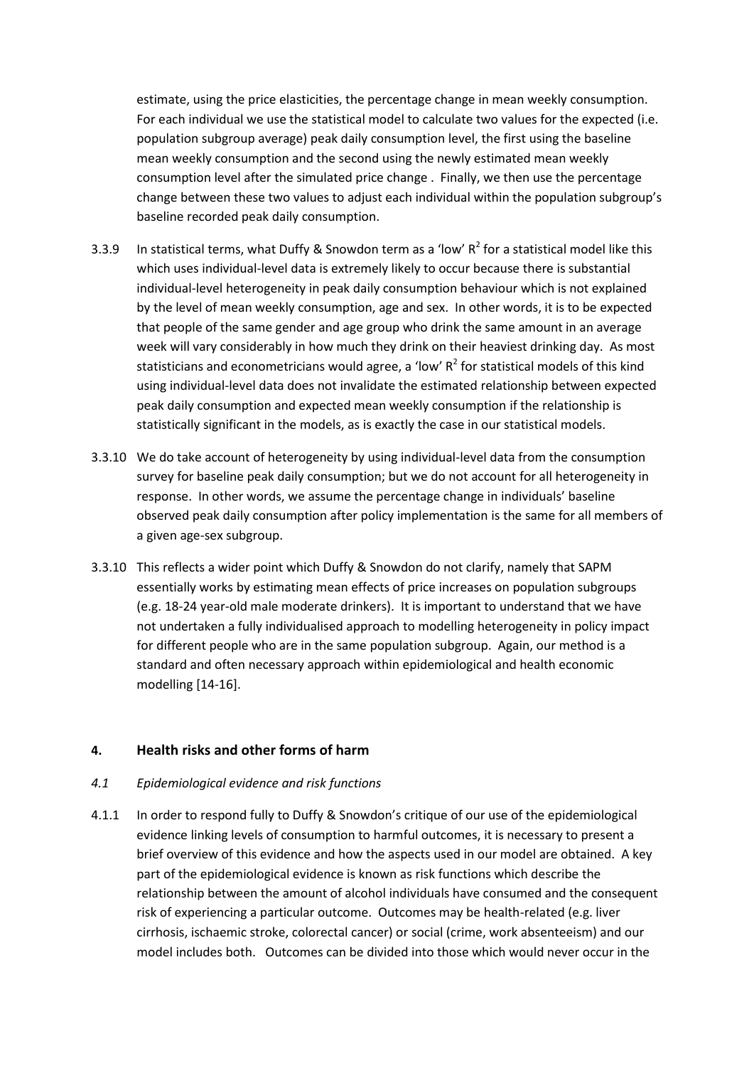estimate, using the price elasticities, the percentage change in mean weekly consumption. For each individual we use the statistical model to calculate two values for the expected (i.e. population subgroup average) peak daily consumption level, the first using the baseline mean weekly consumption and the second using the newly estimated mean weekly consumption level after the simulated price change . Finally, we then use the percentage change between these two values to adjust each individual within the population subgroup's baseline recorded peak daily consumption.

- 3.3.9 In statistical terms, what Duffy & Snowdon term as a 'low'  $R^2$  for a statistical model like this which uses individual-level data is extremely likely to occur because there is substantial individual-level heterogeneity in peak daily consumption behaviour which is not explained by the level of mean weekly consumption, age and sex. In other words, it is to be expected that people of the same gender and age group who drink the same amount in an average week will vary considerably in how much they drink on their heaviest drinking day. As most statisticians and econometricians would agree, a 'low'  $R^2$  for statistical models of this kind using individual-level data does not invalidate the estimated relationship between expected peak daily consumption and expected mean weekly consumption if the relationship is statistically significant in the models, as is exactly the case in our statistical models.
- 3.3.10 We do take account of heterogeneity by using individual-level data from the consumption survey for baseline peak daily consumption; but we do not account for all heterogeneity in response. In other words, we assume the percentage change in individuals' baseline observed peak daily consumption after policy implementation is the same for all members of a given age-sex subgroup.
- 3.3.10 This reflects a wider point which Duffy & Snowdon do not clarify, namely that SAPM essentially works by estimating mean effects of price increases on population subgroups (e.g. 18-24 year-old male moderate drinkers). It is important to understand that we have not undertaken a fully individualised approach to modelling heterogeneity in policy impact for different people who are in the same population subgroup. Again, our method is a standard and often necessary approach within epidemiological and health economic modelling [14-16].

#### **4. Health risks and other forms of harm**

#### *4.1 Epidemiological evidence and risk functions*

4.1.1 In order to respond fully to Duffy & Snowdon's critique of our use of the epidemiological evidence linking levels of consumption to harmful outcomes, it is necessary to present a brief overview of this evidence and how the aspects used in our model are obtained. A key part of the epidemiological evidence is known as risk functions which describe the relationship between the amount of alcohol individuals have consumed and the consequent risk of experiencing a particular outcome. Outcomes may be health-related (e.g. liver cirrhosis, ischaemic stroke, colorectal cancer) or social (crime, work absenteeism) and our model includes both. Outcomes can be divided into those which would never occur in the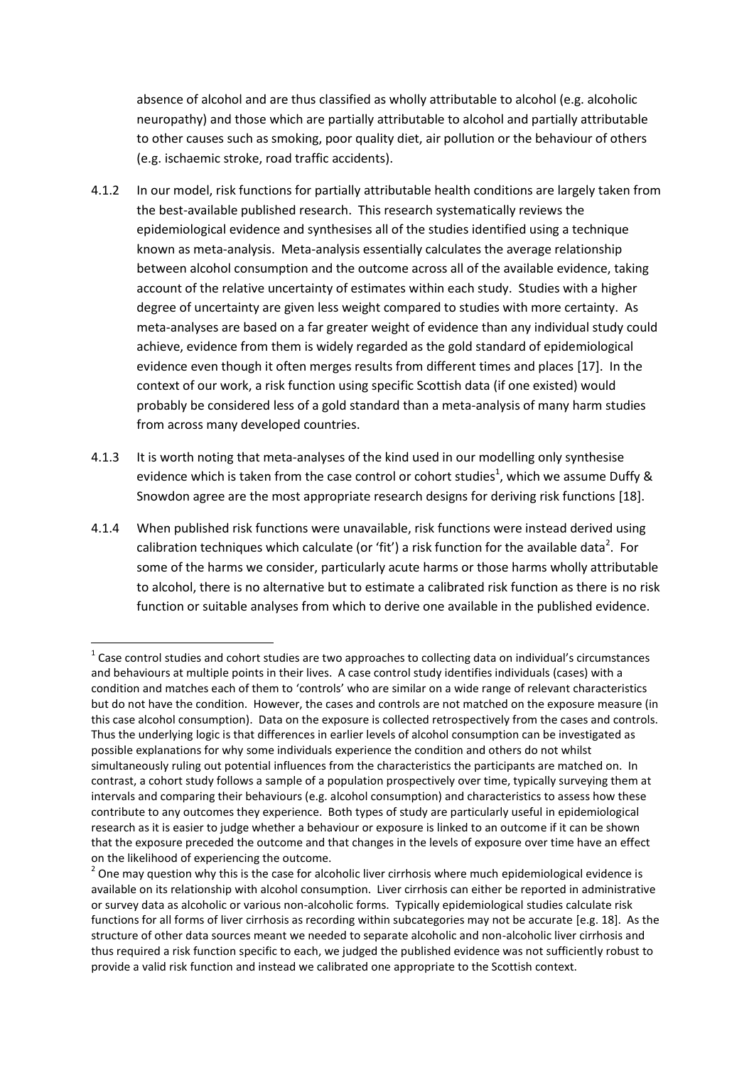absence of alcohol and are thus classified as wholly attributable to alcohol (e.g. alcoholic neuropathy) and those which are partially attributable to alcohol and partially attributable to other causes such as smoking, poor quality diet, air pollution or the behaviour of others (e.g. ischaemic stroke, road traffic accidents).

- 4.1.2 In our model, risk functions for partially attributable health conditions are largely taken from the best-available published research. This research systematically reviews the epidemiological evidence and synthesises all of the studies identified using a technique known as meta-analysis. Meta-analysis essentially calculates the average relationship between alcohol consumption and the outcome across all of the available evidence, taking account of the relative uncertainty of estimates within each study. Studies with a higher degree of uncertainty are given less weight compared to studies with more certainty. As meta-analyses are based on a far greater weight of evidence than any individual study could achieve, evidence from them is widely regarded as the gold standard of epidemiological evidence even though it often merges results from different times and places [17]. In the context of our work, a risk function using specific Scottish data (if one existed) would probably be considered less of a gold standard than a meta-analysis of many harm studies from across many developed countries.
- 4.1.3 It is worth noting that meta-analyses of the kind used in our modelling only synthesise evidence which is taken from the case control or cohort studies<sup>1</sup>, which we assume Duffy & Snowdon agree are the most appropriate research designs for deriving risk functions [18].
- 4.1.4 When published risk functions were unavailable, risk functions were instead derived using calibration techniques which calculate (or 'fit') a risk function for the available data<sup>2</sup>. For some of the harms we consider, particularly acute harms or those harms wholly attributable to alcohol, there is no alternative but to estimate a calibrated risk function as there is no risk function or suitable analyses from which to derive one available in the published evidence.

 $\overline{a}$ 

 $1$  Case control studies and cohort studies are two approaches to collecting data on individual's circumstances and behaviours at multiple points in their lives. A case control study identifies individuals (cases) with a condition and matches each of them to 'controls' who are similar on a wide range of relevant characteristics but do not have the condition. However, the cases and controls are not matched on the exposure measure (in this case alcohol consumption). Data on the exposure is collected retrospectively from the cases and controls. Thus the underlying logic is that differences in earlier levels of alcohol consumption can be investigated as possible explanations for why some individuals experience the condition and others do not whilst simultaneously ruling out potential influences from the characteristics the participants are matched on. In contrast, a cohort study follows a sample of a population prospectively over time, typically surveying them at intervals and comparing their behaviours (e.g. alcohol consumption) and characteristics to assess how these contribute to any outcomes they experience. Both types of study are particularly useful in epidemiological research as it is easier to judge whether a behaviour or exposure is linked to an outcome if it can be shown that the exposure preceded the outcome and that changes in the levels of exposure over time have an effect on the likelihood of experiencing the outcome.

 $2$  One may question why this is the case for alcoholic liver cirrhosis where much epidemiological evidence is available on its relationship with alcohol consumption. Liver cirrhosis can either be reported in administrative or survey data as alcoholic or various non-alcoholic forms. Typically epidemiological studies calculate risk functions for all forms of liver cirrhosis as recording within subcategories may not be accurate [e.g. 18]. As the structure of other data sources meant we needed to separate alcoholic and non-alcoholic liver cirrhosis and thus required a risk function specific to each, we judged the published evidence was not sufficiently robust to provide a valid risk function and instead we calibrated one appropriate to the Scottish context.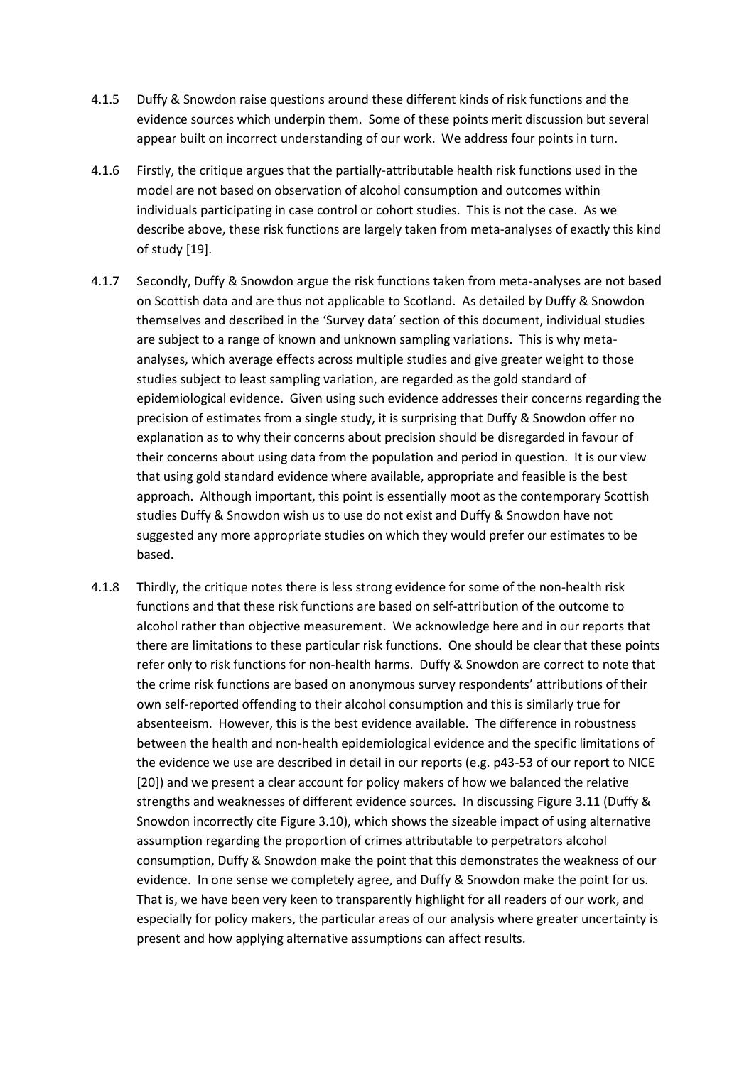- 4.1.5 Duffy & Snowdon raise questions around these different kinds of risk functions and the evidence sources which underpin them. Some of these points merit discussion but several appear built on incorrect understanding of our work. We address four points in turn.
- 4.1.6 Firstly, the critique argues that the partially-attributable health risk functions used in the model are not based on observation of alcohol consumption and outcomes within individuals participating in case control or cohort studies. This is not the case. As we describe above, these risk functions are largely taken from meta-analyses of exactly this kind of study [19].
- 4.1.7 Secondly, Duffy & Snowdon argue the risk functions taken from meta-analyses are not based on Scottish data and are thus not applicable to Scotland. As detailed by Duffy & Snowdon themselves and described in the 'Survey data' section of this document, individual studies are subject to a range of known and unknown sampling variations. This is why metaanalyses, which average effects across multiple studies and give greater weight to those studies subject to least sampling variation, are regarded as the gold standard of epidemiological evidence. Given using such evidence addresses their concerns regarding the precision of estimates from a single study, it is surprising that Duffy & Snowdon offer no explanation as to why their concerns about precision should be disregarded in favour of their concerns about using data from the population and period in question. It is our view that using gold standard evidence where available, appropriate and feasible is the best approach. Although important, this point is essentially moot as the contemporary Scottish studies Duffy & Snowdon wish us to use do not exist and Duffy & Snowdon have not suggested any more appropriate studies on which they would prefer our estimates to be based.
- 4.1.8 Thirdly, the critique notes there is less strong evidence for some of the non-health risk functions and that these risk functions are based on self-attribution of the outcome to alcohol rather than objective measurement. We acknowledge here and in our reports that there are limitations to these particular risk functions. One should be clear that these points refer only to risk functions for non-health harms. Duffy & Snowdon are correct to note that the crime risk functions are based on anonymous survey respondents' attributions of their own self-reported offending to their alcohol consumption and this is similarly true for absenteeism. However, this is the best evidence available. The difference in robustness between the health and non-health epidemiological evidence and the specific limitations of the evidence we use are described in detail in our reports (e.g. p43-53 of our report to NICE [20]) and we present a clear account for policy makers of how we balanced the relative strengths and weaknesses of different evidence sources. In discussing Figure 3.11 (Duffy & Snowdon incorrectly cite Figure 3.10), which shows the sizeable impact of using alternative assumption regarding the proportion of crimes attributable to perpetrators alcohol consumption, Duffy & Snowdon make the point that this demonstrates the weakness of our evidence. In one sense we completely agree, and Duffy & Snowdon make the point for us. That is, we have been very keen to transparently highlight for all readers of our work, and especially for policy makers, the particular areas of our analysis where greater uncertainty is present and how applying alternative assumptions can affect results.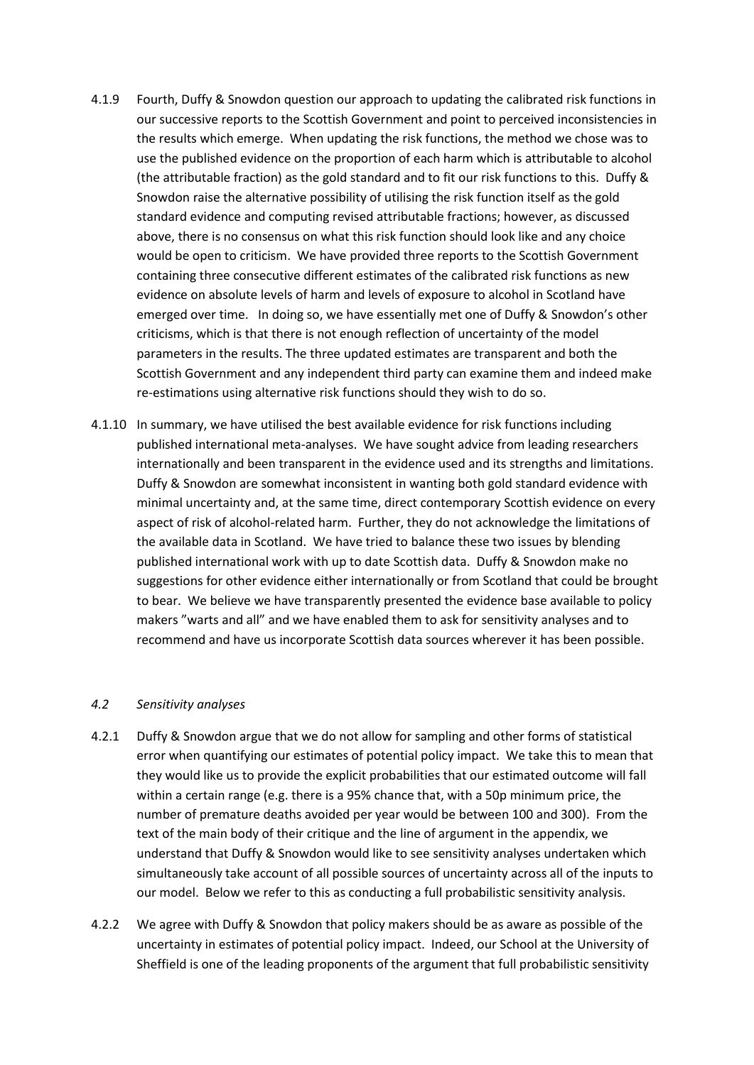- 4.1.9 Fourth, Duffy & Snowdon question our approach to updating the calibrated risk functions in our successive reports to the Scottish Government and point to perceived inconsistencies in the results which emerge. When updating the risk functions, the method we chose was to use the published evidence on the proportion of each harm which is attributable to alcohol (the attributable fraction) as the gold standard and to fit our risk functions to this. Duffy & Snowdon raise the alternative possibility of utilising the risk function itself as the gold standard evidence and computing revised attributable fractions; however, as discussed above, there is no consensus on what this risk function should look like and any choice would be open to criticism. We have provided three reports to the Scottish Government containing three consecutive different estimates of the calibrated risk functions as new evidence on absolute levels of harm and levels of exposure to alcohol in Scotland have emerged over time. In doing so, we have essentially met one of Duffy & Snowdon's other criticisms, which is that there is not enough reflection of uncertainty of the model parameters in the results. The three updated estimates are transparent and both the Scottish Government and any independent third party can examine them and indeed make re-estimations using alternative risk functions should they wish to do so.
- 4.1.10 In summary, we have utilised the best available evidence for risk functions including published international meta-analyses. We have sought advice from leading researchers internationally and been transparent in the evidence used and its strengths and limitations. Duffy & Snowdon are somewhat inconsistent in wanting both gold standard evidence with minimal uncertainty and, at the same time, direct contemporary Scottish evidence on every aspect of risk of alcohol-related harm. Further, they do not acknowledge the limitations of the available data in Scotland. We have tried to balance these two issues by blending published international work with up to date Scottish data. Duffy & Snowdon make no suggestions for other evidence either internationally or from Scotland that could be brought to bear. We believe we have transparently presented the evidence base available to policy makers "warts and all" and we have enabled them to ask for sensitivity analyses and to recommend and have us incorporate Scottish data sources wherever it has been possible.

#### *4.2 Sensitivity analyses*

- 4.2.1 Duffy & Snowdon argue that we do not allow for sampling and other forms of statistical error when quantifying our estimates of potential policy impact. We take this to mean that they would like us to provide the explicit probabilities that our estimated outcome will fall within a certain range (e.g. there is a 95% chance that, with a 50p minimum price, the number of premature deaths avoided per year would be between 100 and 300). From the text of the main body of their critique and the line of argument in the appendix, we understand that Duffy & Snowdon would like to see sensitivity analyses undertaken which simultaneously take account of all possible sources of uncertainty across all of the inputs to our model. Below we refer to this as conducting a full probabilistic sensitivity analysis.
- 4.2.2 We agree with Duffy & Snowdon that policy makers should be as aware as possible of the uncertainty in estimates of potential policy impact. Indeed, our School at the University of Sheffield is one of the leading proponents of the argument that full probabilistic sensitivity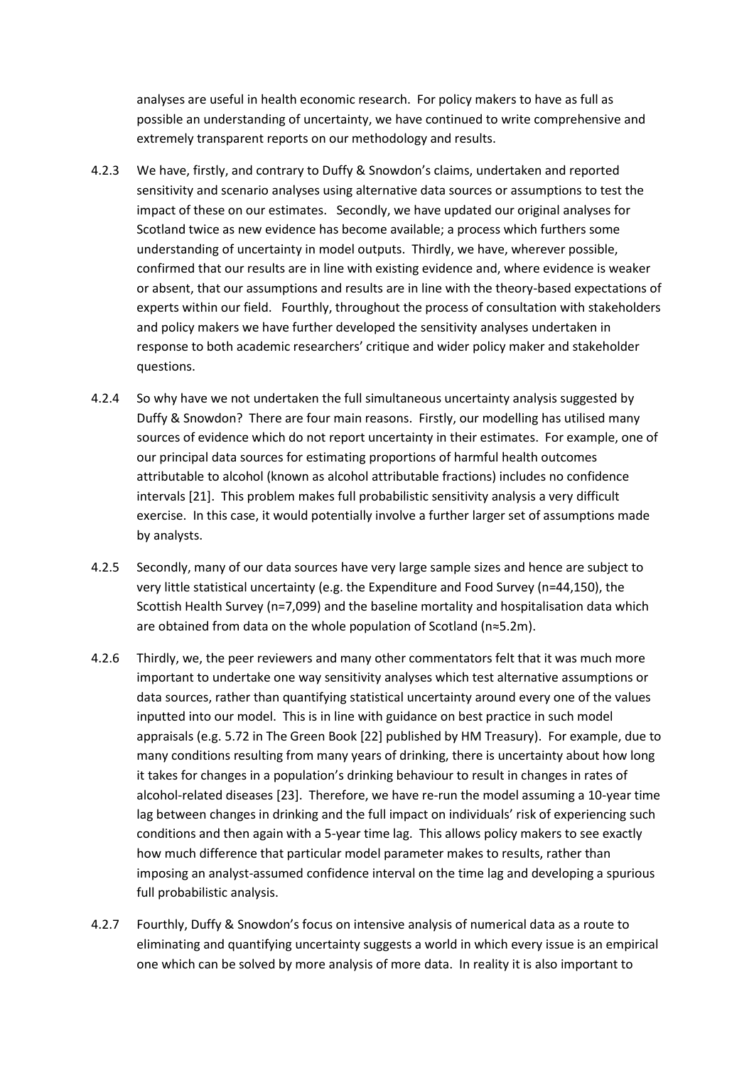analyses are useful in health economic research. For policy makers to have as full as possible an understanding of uncertainty, we have continued to write comprehensive and extremely transparent reports on our methodology and results.

- 4.2.3 We have, firstly, and contrary to Duffy & Snowdon's claims, undertaken and reported sensitivity and scenario analyses using alternative data sources or assumptions to test the impact of these on our estimates. Secondly, we have updated our original analyses for Scotland twice as new evidence has become available; a process which furthers some understanding of uncertainty in model outputs. Thirdly, we have, wherever possible, confirmed that our results are in line with existing evidence and, where evidence is weaker or absent, that our assumptions and results are in line with the theory-based expectations of experts within our field. Fourthly, throughout the process of consultation with stakeholders and policy makers we have further developed the sensitivity analyses undertaken in response to both academic researchers' critique and wider policy maker and stakeholder questions.
- 4.2.4 So why have we not undertaken the full simultaneous uncertainty analysis suggested by Duffy & Snowdon? There are four main reasons. Firstly, our modelling has utilised many sources of evidence which do not report uncertainty in their estimates. For example, one of our principal data sources for estimating proportions of harmful health outcomes attributable to alcohol (known as alcohol attributable fractions) includes no confidence intervals [21]. This problem makes full probabilistic sensitivity analysis a very difficult exercise. In this case, it would potentially involve a further larger set of assumptions made by analysts.
- 4.2.5 Secondly, many of our data sources have very large sample sizes and hence are subject to very little statistical uncertainty (e.g. the Expenditure and Food Survey (n=44,150), the Scottish Health Survey (n=7,099) and the baseline mortality and hospitalisation data which are obtained from data on the whole population of Scotland (n≈5.2m).
- 4.2.6 Thirdly, we, the peer reviewers and many other commentators felt that it was much more important to undertake one way sensitivity analyses which test alternative assumptions or data sources, rather than quantifying statistical uncertainty around every one of the values inputted into our model. This is in line with guidance on best practice in such model appraisals (e.g. 5.72 in The Green Book [22] published by HM Treasury). For example, due to many conditions resulting from many years of drinking, there is uncertainty about how long it takes for changes in a population's drinking behaviour to result in changes in rates of alcohol-related diseases [23]. Therefore, we have re-run the model assuming a 10-year time lag between changes in drinking and the full impact on individuals' risk of experiencing such conditions and then again with a 5-year time lag. This allows policy makers to see exactly how much difference that particular model parameter makes to results, rather than imposing an analyst-assumed confidence interval on the time lag and developing a spurious full probabilistic analysis.
- 4.2.7 Fourthly, Duffy & Snowdon's focus on intensive analysis of numerical data as a route to eliminating and quantifying uncertainty suggests a world in which every issue is an empirical one which can be solved by more analysis of more data. In reality it is also important to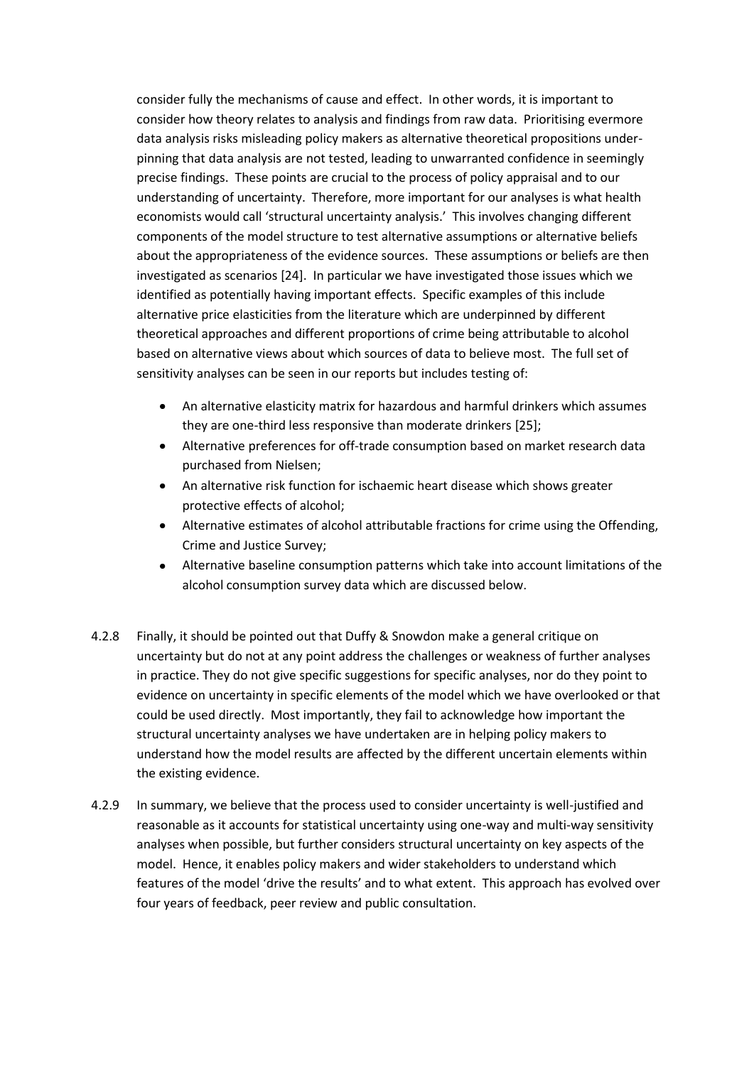consider fully the mechanisms of cause and effect. In other words, it is important to consider how theory relates to analysis and findings from raw data. Prioritising evermore data analysis risks misleading policy makers as alternative theoretical propositions underpinning that data analysis are not tested, leading to unwarranted confidence in seemingly precise findings. These points are crucial to the process of policy appraisal and to our understanding of uncertainty. Therefore, more important for our analyses is what health economists would call 'structural uncertainty analysis.' This involves changing different components of the model structure to test alternative assumptions or alternative beliefs about the appropriateness of the evidence sources. These assumptions or beliefs are then investigated as scenarios [24]. In particular we have investigated those issues which we identified as potentially having important effects. Specific examples of this include alternative price elasticities from the literature which are underpinned by different theoretical approaches and different proportions of crime being attributable to alcohol based on alternative views about which sources of data to believe most. The full set of sensitivity analyses can be seen in our reports but includes testing of:

- An alternative elasticity matrix for hazardous and harmful drinkers which assumes they are one-third less responsive than moderate drinkers [25];
- Alternative preferences for off-trade consumption based on market research data purchased from Nielsen;
- An alternative risk function for ischaemic heart disease which shows greater protective effects of alcohol;
- Alternative estimates of alcohol attributable fractions for crime using the Offending, Crime and Justice Survey;
- Alternative baseline consumption patterns which take into account limitations of the alcohol consumption survey data which are discussed below.
- 4.2.8 Finally, it should be pointed out that Duffy & Snowdon make a general critique on uncertainty but do not at any point address the challenges or weakness of further analyses in practice. They do not give specific suggestions for specific analyses, nor do they point to evidence on uncertainty in specific elements of the model which we have overlooked or that could be used directly. Most importantly, they fail to acknowledge how important the structural uncertainty analyses we have undertaken are in helping policy makers to understand how the model results are affected by the different uncertain elements within the existing evidence.
- 4.2.9 In summary, we believe that the process used to consider uncertainty is well-justified and reasonable as it accounts for statistical uncertainty using one-way and multi-way sensitivity analyses when possible, but further considers structural uncertainty on key aspects of the model. Hence, it enables policy makers and wider stakeholders to understand which features of the model 'drive the results' and to what extent. This approach has evolved over four years of feedback, peer review and public consultation.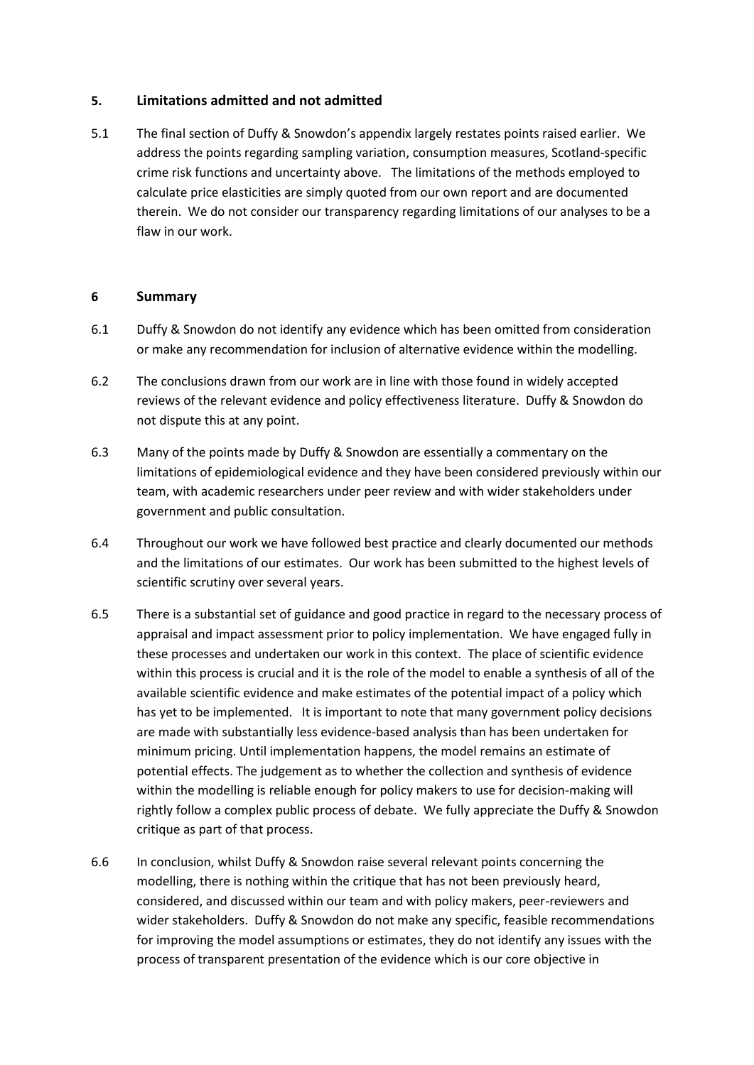## **5. Limitations admitted and not admitted**

5.1 The final section of Duffy & Snowdon's appendix largely restates points raised earlier. We address the points regarding sampling variation, consumption measures, Scotland-specific crime risk functions and uncertainty above. The limitations of the methods employed to calculate price elasticities are simply quoted from our own report and are documented therein. We do not consider our transparency regarding limitations of our analyses to be a flaw in our work.

#### **6 Summary**

- 6.1 Duffy & Snowdon do not identify any evidence which has been omitted from consideration or make any recommendation for inclusion of alternative evidence within the modelling.
- 6.2 The conclusions drawn from our work are in line with those found in widely accepted reviews of the relevant evidence and policy effectiveness literature. Duffy & Snowdon do not dispute this at any point.
- 6.3 Many of the points made by Duffy & Snowdon are essentially a commentary on the limitations of epidemiological evidence and they have been considered previously within our team, with academic researchers under peer review and with wider stakeholders under government and public consultation.
- 6.4 Throughout our work we have followed best practice and clearly documented our methods and the limitations of our estimates. Our work has been submitted to the highest levels of scientific scrutiny over several years.
- 6.5 There is a substantial set of guidance and good practice in regard to the necessary process of appraisal and impact assessment prior to policy implementation. We have engaged fully in these processes and undertaken our work in this context. The place of scientific evidence within this process is crucial and it is the role of the model to enable a synthesis of all of the available scientific evidence and make estimates of the potential impact of a policy which has yet to be implemented. It is important to note that many government policy decisions are made with substantially less evidence-based analysis than has been undertaken for minimum pricing. Until implementation happens, the model remains an estimate of potential effects. The judgement as to whether the collection and synthesis of evidence within the modelling is reliable enough for policy makers to use for decision-making will rightly follow a complex public process of debate. We fully appreciate the Duffy & Snowdon critique as part of that process.
- 6.6 In conclusion, whilst Duffy & Snowdon raise several relevant points concerning the modelling, there is nothing within the critique that has not been previously heard, considered, and discussed within our team and with policy makers, peer-reviewers and wider stakeholders. Duffy & Snowdon do not make any specific, feasible recommendations for improving the model assumptions or estimates, they do not identify any issues with the process of transparent presentation of the evidence which is our core objective in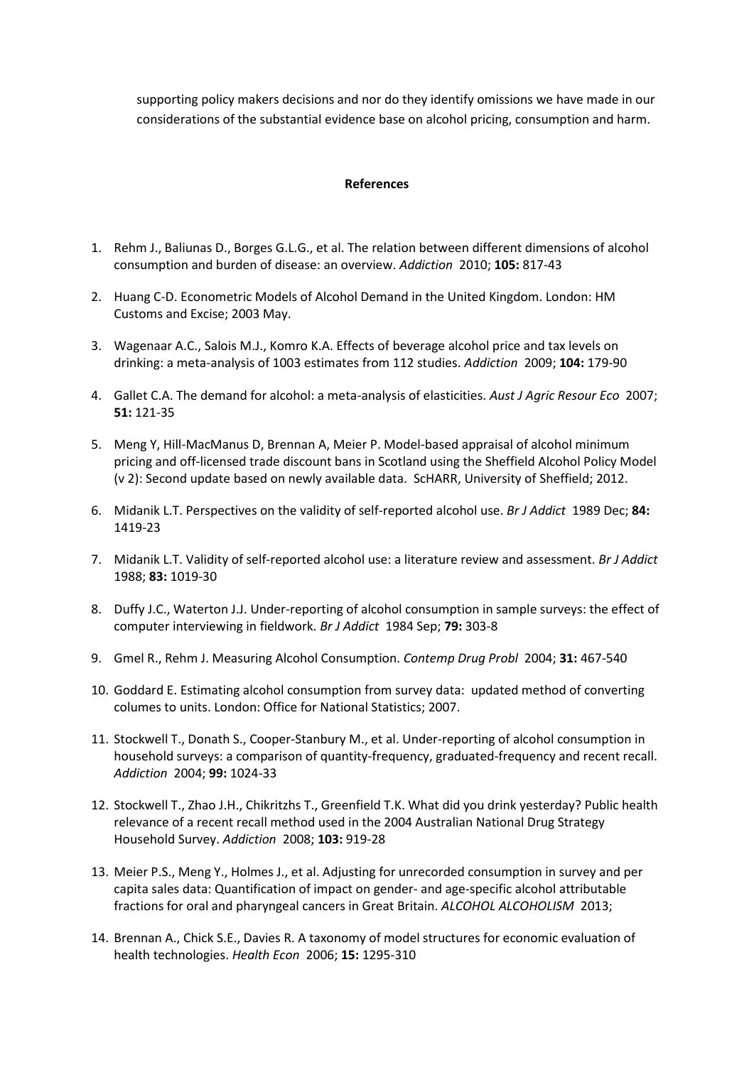supporting policy makers decisions and nor do they identify omissions we have made in our considerations of the substantial evidence base on alcohol pricing, consumption and harm.

#### **References**

- 1. Rehm J., Baliunas D., Borges G.L.G., et al. The relation between different dimensions of alcohol consumption and burden of disease: an overview. *Addiction* 2010; **105:** 817-43
- 2. Huang C-D. Econometric Models of Alcohol Demand in the United Kingdom. London: HM Customs and Excise; 2003 May.
- 3. Wagenaar A.C., Salois M.J., Komro K.A. Effects of beverage alcohol price and tax levels on drinking: a meta-analysis of 1003 estimates from 112 studies. *Addiction* 2009; **104:** 179-90
- 4. Gallet C.A. The demand for alcohol: a meta-analysis of elasticities. *Aust J Agric Resour Eco* 2007; **51:** 121-35
- 5. Meng Y, Hill-MacManus D, Brennan A, Meier P. Model-based appraisal of alcohol minimum pricing and off-licensed trade discount bans in Scotland using the Sheffield Alcohol Policy Model (v 2): Second update based on newly available data. ScHARR, University of Sheffield; 2012.
- 6. Midanik L.T. Perspectives on the validity of self-reported alcohol use. *Br J Addict* 1989 Dec; **84:**  1419-23
- 7. Midanik L.T. Validity of self-reported alcohol use: a literature review and assessment. *Br J Addict*  1988; **83:** 1019-30
- 8. Duffy J.C., Waterton J.J. Under-reporting of alcohol consumption in sample surveys: the effect of computer interviewing in fieldwork. *Br J Addict* 1984 Sep; **79:** 303-8
- 9. Gmel R., Rehm J. Measuring Alcohol Consumption. *Contemp Drug Probl* 2004; **31:** 467-540
- 10. Goddard E. Estimating alcohol consumption from survey data: updated method of converting columes to units. London: Office for National Statistics; 2007.
- 11. Stockwell T., Donath S., Cooper-Stanbury M., et al. Under-reporting of alcohol consumption in household surveys: a comparison of quantity-frequency, graduated-frequency and recent recall. *Addiction* 2004; **99:** 1024-33
- 12. Stockwell T., Zhao J.H., Chikritzhs T., Greenfield T.K. What did you drink yesterday? Public health relevance of a recent recall method used in the 2004 Australian National Drug Strategy Household Survey. *Addiction* 2008; **103:** 919-28
- 13. Meier P.S., Meng Y., Holmes J., et al. Adjusting for unrecorded consumption in survey and per capita sales data: Quantification of impact on gender- and age-specific alcohol attributable fractions for oral and pharyngeal cancers in Great Britain. *ALCOHOL ALCOHOLISM* 2013;
- 14. Brennan A., Chick S.E., Davies R. A taxonomy of model structures for economic evaluation of health technologies. *Health Econ* 2006; **15:** 1295-310